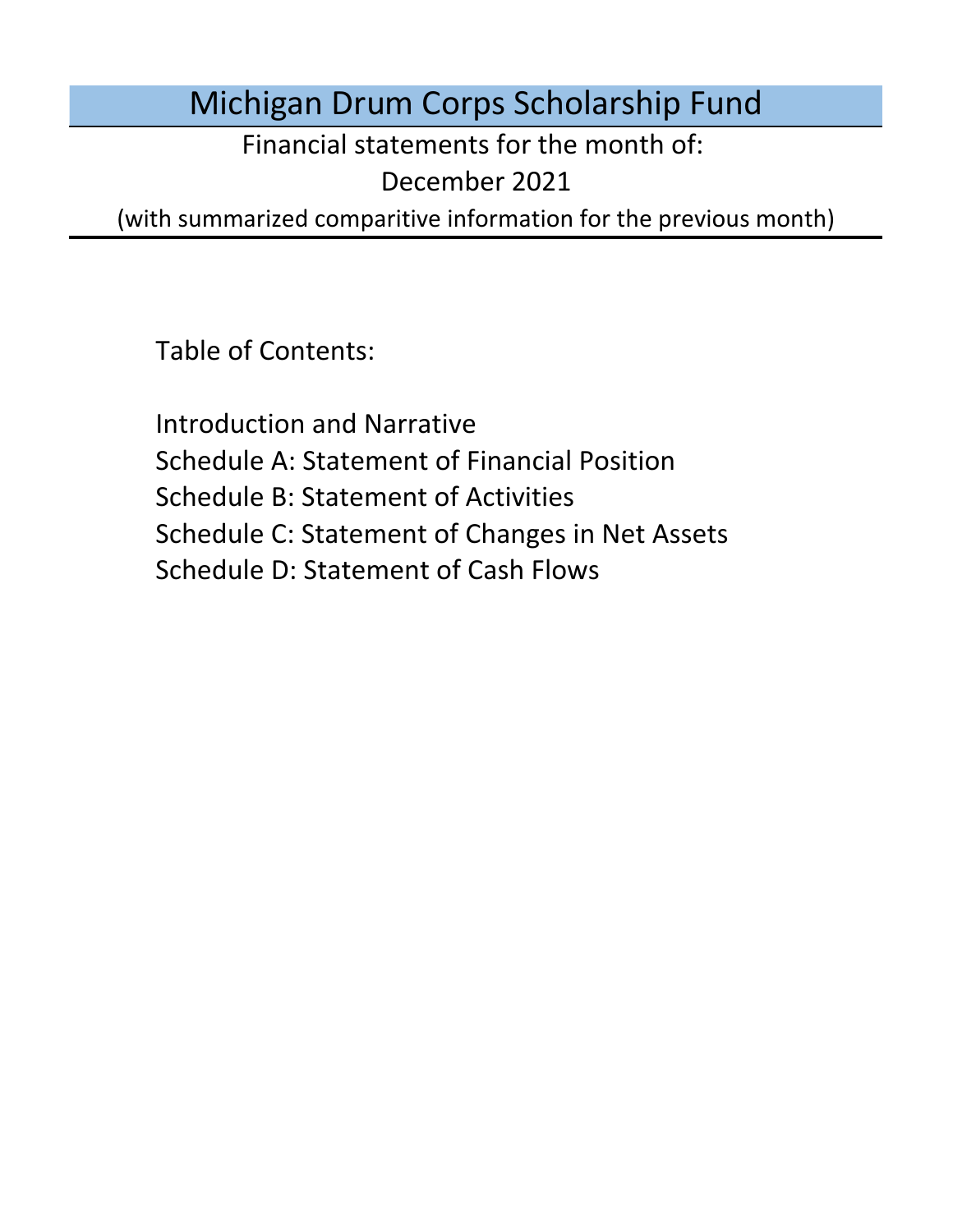Michigan Drum Corps Scholarship Fund

Financial statements for the month of:

December 2021

(with summarized comparitive information for the previous month)

Table of Contents:

Schedule D: Statement of Cash Flows Introduction and Narrative Schedule A: Statement of Financial Position Schedule B: Statement of Activities Schedule C: Statement of Changes in Net Assets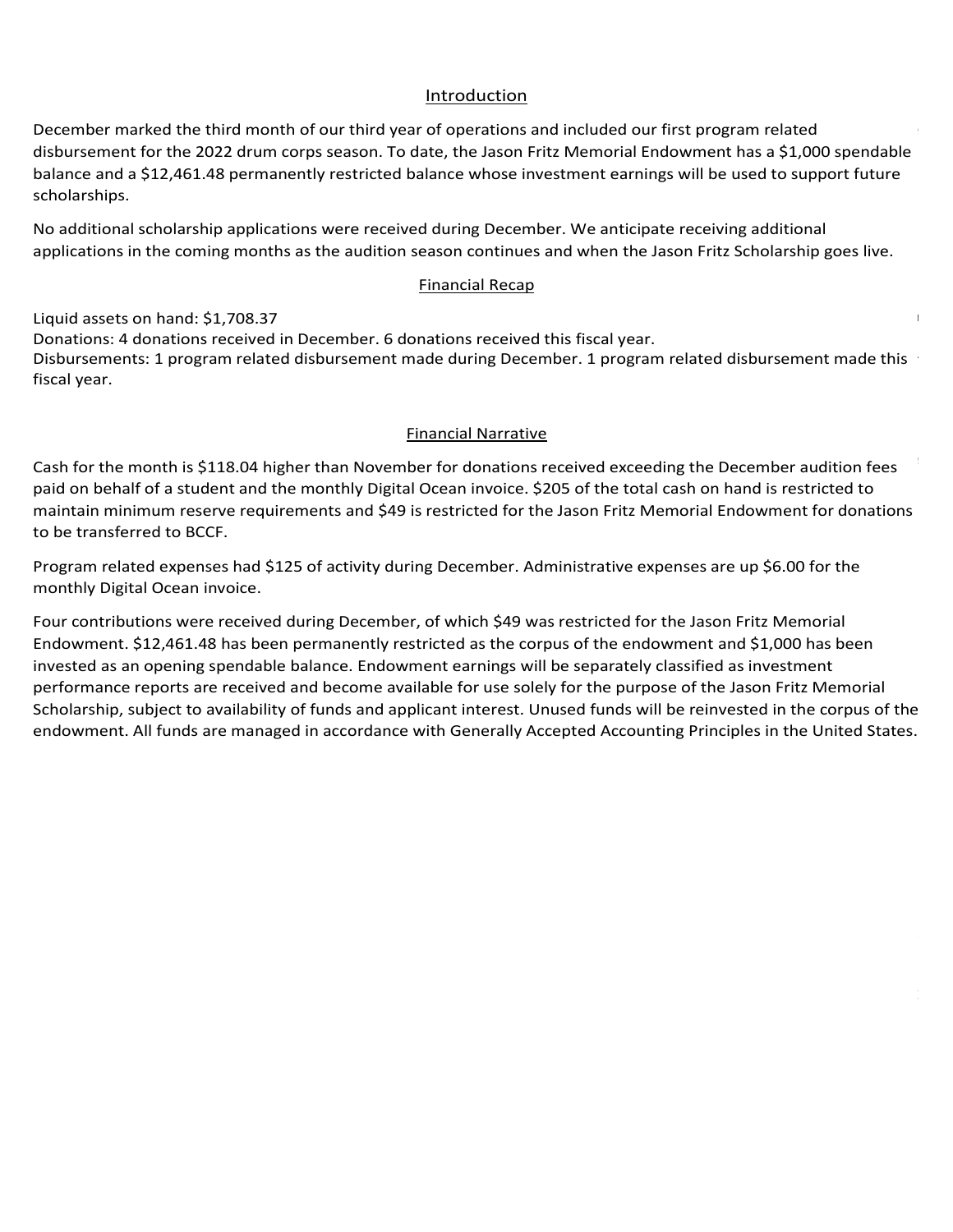## Introduction Introduction Introduction

Introduction<br>December marked the third month of our third year of operations and included our first program related Introduction<br>December marked the third month of our third year of operations and included our first program related<br>disbursement for the 2022 drum corps season. To date, the Jason Fritz Memorial Endowment has a \$1,000 spen balance and a \$12,461.48 permanently restricted balance whose investment earnings will be used to support future<br>scholarships. currently being considered with updates planned for the next Board of Directors meeting. The next Board of Directors meeting  $\alpha$ scholarships. For late audition-season application-season application-season application-season application-se sensity of concerning for member safety. While the financial impact is still being quantified, the board of the board of the board of the board of the board of the board of the board of the board of the board of the board Board anticipates that some students may not be able to participate due to participate due to student teaching requirements may not be able to student teaching requirements may not be able to student teaching requirements  ${\sf scholarships.}$ fundamental fundamental to prepare the 2021 season. The 2021 season. The 2021 season. The 2021 season. The 2021 season. The 2021 season. The 2021 season. The 2021 season. The 2021 season. The 2021 season. The 2021 season.  $\mathsf{scholarships.}$  and scholarship fund received no additional media. The scholarship fund received no additional applications and  $\mathsf{m}$  $R$ egiment. The scholarships funds received no additional applications and disputed no funds for students during  $R$ On December 3rd, 2020, Drum Corps International announced plans for events at Lucas Oil Stadium in Indianapolis, IN Drum Corps International's annual meeting took place in late January and focused on updates from the Tour March 2nd, President Biden announced that the United States is on pace to produce enough vaccines to supply all homor his memory is through a renewed commitment to student to student to state the strengthening the strengthening the strengthening the strengthening the strengthening the strengthening the strengthening the strengthenin week) have been tentatively scheduled for the 2021 season and in-person and in-person audition camps and rehearsals have been tentatively season and rehearsals have been tentatively season and rehearsals have been tentativ including nearby events in Indiana, Wisconsin, Ohio, Illinois, and Iowa. As of June 1st, Michigan will no longer have  $\sf{scholarships.}$  ${\sf scholarships.}$  The endowment that is available for scholarships. The remaining  $310,42.37$  is permanently  $310,42.37$ 

No additional scholarship applications were received during December. We anticipate receiving additional<br>condications in the continuum of here the condition access continuum and when the lease Fritz Scholarship accelius No additional scholarship applications were received during December. We articipate receiving additional<br>applications in the coming months as the audition season continues and when the Jason Fritz Scholarship goes live.<br>Fi disbursed no funds for students during October. The board chair has been in contact with all sponsored students from the additional scholarship applications were received during becember. We anticipate receiving addi November. The board chair has been in contact with all sponsored students from the 2020 season and the scholarship No additional scholarship applications were received during December. We anticipate receiving additional full diameter people that include the ability to gather or conduct and  $\alpha$  masked  $\alpha$  masked for a mask except for conductions with  $\alpha$  masks except for  $\alpha$  masks  $\alpha$  masks except for a mask except for a mask except capacity limits outdoors, indoor restrictions will be raised to 50% capacity, and social gatherings will be regulated by ivo additional scholarship applications were received during becember. We anticipate receiving additional  $\mathbb{R}^n$ theater broadcast on July 15th but in lieu of the season opener from previous years they will be airing finals No additional scholarship applications were received during December. We anticipate receiving additional  $\mathbf{a}$  about to the 301 total str restricted and only investment earnings on that balance can be used for future scholarships. Note that we received No additional scholarship applications were received during December. We anticipate receiving additional<br>applications in the coming months as the audition season continues and when the Jason Fritz Scholarship goes live.

## <u>Donation received during and the companished during January through Paypal.</u> Monthly Financial Recap: Legends has extended the deadline for rolling 2020 contracts into next season from September to (MCBA) has cancelled all events this year, and audition camps will likely be held online. International, students receive vaccines, and national conditions continue to improve, we may see a more normal are regulated by venue. On July 1st all statewide COVID restrictions will be lifted. Financial Recap Financial Recap all organizations. The Madison Scouts have developed a virtual summer education program with video Phantom Regiment Drum and Bugle Corps, and has previously served as previously served as chief medical states for the Legends for the Legends as chief medical states for the Legends for the Legends for the Legends as chief On September 28th Winter Guard International (WGI) announced the cancellation of all in-person events through their <u>2022 season. Virtual events with the winter and ensembles with the winter and ensembles with the winter and en</u> pending updates from DCI's January meeting, the board opened scholarship applications for the 2021 season to provided. With the announcement of virtual programs, planned events in Indianapolis, and pending updates from <u>Difference</u> scholarship applications for the 2021 season to support Michigan students. The 2021 season to support Michigan students. The 2021 season to support Michigan students. The 2021 season to support Michigan studen  $\nabla$ in corps and eight open class corps have either cancelled the cancelled their  $\omega$ program, or will participate solely in local or regional events. The contract of the solely in local or region<br>The contract of the solely in local or regional events. The contract of the contract of the solely in local or **Expanding Contract Contract Contract Contract Contract Contract Contract Contract Contract Contract Contract Contract Contract Contract Contract Contract Contract Contract Contract Contract Contract Contract Contract Cont** memorial in Comstock. The board has also discussed potential endowment managers with leading candidates such as  $t$  munition and  $C$  community  $F$  and  $C$  on  $\mathcal{L}$   $\mathcal{L}$  and  $\mathcal{L}$  on  $\mathcal{L}$  on  $\mathcal{L}$  on  $\mathcal{L}$  on  $\mathcal{L}$  on  $\mathcal{L}$  on  $\mathcal{L}$  on  $\mathcal{L}$  on  $\mathcal{L}$  on  $\mathcal{L}$  on  $\mathcal{L}$  on  $\mathcal{L}$  on  $\mathcal{L}$   $\sigma$  in donations to the endowment and have an additions to the endowment and have an additional  $\sigma$  $\frac{1}{2}$  in September's fundration in September's fundration through the  $\frac{1}{2}$  threshold, we now  $\frac{1}{2}$  for the  $\frac{1}{2}$  for the  $\frac{1}{2}$  for the  $\frac{1}{2}$  for the  $\frac{1}{2}$  for the  $\frac{1}{2}$  for the  $\frac{1}{2}$  f Our initial fundraising window for the Jason Fritz Memorial Scholarship has officially closed as of 9/30/21 and we  $T$ inancial  $R$ our most sincere and heartfelt thanks to all of our sponsored our sponsored our sponsored our sponsored our sponsored our sponsored our sponsored our sponsored our sponsored our sponsored our sponsored our

Liquid assets on hand: \$1,708.37  $\,$ Financial Narrative Fiscal year. The sixth month of operations for the sixth month of operations for the fund under its declared fiscal year. Cash for the fund under its declared fiscal year. Cash for the fund under its declared fiscal year. Financial Necap<br>Liquid assets on hand: \$1,708.37<br>Donations: 4 donations received in December. 6 donations received this fiscal year. Donations: 4 donations received in December. 6 donations received this fiscal year.<br>Disbursements: 1 program related disbursement made during December. 1 program related disbursement made this<br>fiscal year  $\frac{1}{2}$  financial second on the quality and scale on the quality and scale of the quality and scale of the  $\frac{1}{2}$  $\alpha$  basis and will be in contact with the board as more specific information in  $\alpha$ 2 drum corps season. To date, the Jason Fritz Memorial Endowment has a \$1,000 spendable<br>
i permanently restricted balance whose investment earnings will be used to support future<br>
applications were received during December  $A$  additionally, members of the board have been actively working towards website improvements, branding  $\mathcal{A}$  $\sim$  2021 season. Until a vaccine is developed, he believes all audition and rehearsal camps will be all audition and reflection and reflection and reflection and reflection and reflection and reflection and reflection an the form of rolling 2020 contracts into from September to tuition support between recelasion for 2021 pending tuition for 2021 pending and 2021 pending tuition for 2021 pending tuition for 2021 pending and 2021 pending and  $t_{\rm 202}$  season. Until a vaccine is developed, he believes all audition and rehearsal camps will be all audition and reflection and reflection and reflection and reflection and reflection and reflection and reflection property leases, vehicle loans, and other operation costs. As of September 7th, they have raised just under \$50,000 of a 150,000 goal. To date, no ensembles with sponsored students have shared they are at risk of a 150,000 fiscal year. Internation Recaption of assets on hand: \$1,708.37<br>hations: 4 donations received in December. 6 donations received this fiscal year.<br>pursements: 1 program related disbursement made during December. 1 program related disbur ponduons. Faonduons received in pecember: 6 donations received this nsear year.<br>Dishursoments: 1 program related dishursoment made during December, 1 program related dishursoment made this. virtual drum mangor and leadership clinical assemblement as a new Expert Lesson Series des interests as well a<br>fiscal dear The Crossmen announced The Collective as their digital platform for video auditions, monthly classes, and private Donations: Traditations received in December: Ordonations received this nodal year.<br>Dishursoments: 1 program related dishursoment made during December, 1 program related dishursoment mag plat forms for virtual instruction and all instruction camera the Phantom Regiment created the District Mademy<br>fiscal vear virtual drum major and leadership clinics as well as a new Expert Lesson Series designed for beginner band students. donations received thi<br>made during Decemb<br>Financial Narrative Liquid assets on hand: \$1,708.37<br>Donations: 4 donations received in December. 6 donations received this fiscal year.<br>Disbursements: 1 program related disbursement made during December. 1 program related disbursement made t scholarship fund received one new application during March but disbursed no funds for students during the 2021 season than expected only a few months ago.  $\bf{f}$ iscal year. Additionally, the fundraising plans to manage fundraising efforts, the fundraising efforts, the fundraising efforts, the fundraising efforts, the fundraising efforts, the fundraising efforts, the fundra  $\alpha$  endowment for an endowment for perpetual scholarships). More information will be provided as we receive feedback feedback feedback feedback feedback feedback feedback feedback feedback feedback feedback feedback feed 2020 and this year's sponsored students, we had a total of four students marching with three corps this summer:

## **Financial Narrative** 35 of DCI's Division 1 Monday Class corps, orientative corps, orientative show selections based on  $\mathcal{L}$  and  $\mathcal{L}$  and  $\mathcal{L}$  are denoted on  $\mathcal{L}$  and  $\mathcal{L}$  are denoted on  $\mathcal{L}$  and  $\mathcal{L}$  are denoted on member heralth will require substantial provements for each ensemble. Potential to each ensemble. Potential to substantial provements for each ensemble. Potential to each ensemble  $\mathcal{P}_i$ more than 90% efficient in the internal. Multiple groups continue to develop vaccines and estimates and estimates and estimates and estimates and estimates and estimates and estimates and estimates and estimates and estima  $\frac{1}{2}$  – 14 with notes that subcommittee meetings, research, and discussions are only the annual meeting for the annual meeting for the annual meeting for the annual meeting for the annual meeting for the annual meeting  $2021$  season and has confirmed that Abbey Trach is participated with River City Rhythm and Jaden McCallum will be  $\sim$ The schoolarship fund received no new applications during May but paid  $\sim$  515.00 to the Madison Scouts for Kaitlynn Scouts for Kaitlynn Scouts for Kaitlynn Scouts for Kaitlynn Scouts for Kaitlynn Scouts for Kaitlynn Scou Jaden McCallum and Echo Bennett with Phantom Regiment, Abbey Trach with River City Rhythm, and Kaitlyn Colyer R<br>River City Rhythm, and Kaitlyn Colyer Rhythm, and Kaitlyn Colyer Rhythm, and Kaitlyn Colyer Rhythm, and Kaitly with the Madison Scouts. To date, Crossmen has not refund requests they participated to refund requests the par students in the corps three corps than the corps that in the corps the corps that  $\Gamma$  is contained with  $\Gamma$ Donations: 2 donations received in October. 2 donations received this fiscal year.

Cash for the month is \$118.04 higher than November for donations received exceeding the December audition fe paid on behalf of a student and the monthly Digital Ocean invoice. \$205 of the total cash on hand is restricted to<br>maintain minimum reserve requirements and \$49 is restricted for the Jason Fritz Memorial Endowment for dona paid on behalf of a student and the monthly Digital Ocean invoice. \$205 of the total cash on hand is restricted to<br>maintain minimum reserve requirements and \$49 is restricted for the Jason Fritz Memorial Endowment for dona to be transferred to beer.  $\sigma$  be transferred to beer.  $r_{\text{eff}}$  for the second  $\alpha$  for tuiting March. Administrative ments during  $\alpha$ to be transferred to BCCF. maintain minimum reserve requirements and \$49 is restricted for the Jason Fritz Memorial Endowment for donations<br>to be transferred to BCCF. Cash for the month is \$118.04 higher than November for donations received exceeding the December audition fees parties as more information becomes available. receiving a 400.000 refunds for Echo Bennett's unused scholarship payment but Crossmen has not Echo Bennett's u<br>Echo Bennett's unused scholarship payment but Crossmen has not Echo Bennett's unused scholarship payment of Ec

Program related expenses had \$125 of activity during December. Administrative expenses are up \$6.00 for the<br>monthly Digital Osean invoise  $N_{\rm F}$  restrict code are currently restricted by the Board are included under the Board are included under under under under under under under the Board are included under under under under under under under under under United Funds in accordance with General lines in the United States. The United States in the United States. monthly Digital Ocean invoice.<br>monthly Digital Ocean invoice.  $M_{\rm c}$  marked the ninth month of operations for the fund under its declared fiscal year. Cash for the month of  $m$ Disbursements: 0 program related disbursements during July.  $\mathbf{F}$ monthly Digital Ocean invoice.<br>Four contributions were resolved during Desember, of which \$40 was restricted for the Jason Fritz Memorial. lower than September due to the endowment transfer. \$205 of the total cash on hand is restricted to maintain tra

Four contributions were received during December, of which \$49 was restricted for the Jason Fritz Memorial Endowment. \$12,461.48 has been permanently restricted as the corpus of the endowment and \$1,000 has been invested as an opening spendable balance. Endowment earnings will be separately classified as investment invested as an opening spendable balance. Endowment carrings will be separately classified as investment<br>performance reports are received and become available for use solely for the purpose of the Jason Fritz Memorial performance reports are received and become available for use solely for the purpose of the Jason Fritz Memoria<br>Scholarship, subject to availability of funds and applicant interest. Unused funds will be reinvested in the c endowment. All funds are managed in accordance with Generally Accepted Accounting Principles in the United Stat f our third year of operations and included our first program related<br>sps season. To date, the Jason Fritz Memorial Fardwament has a \$1,000 spendab<br>tly restricted balance whose investment earnings will be used to support f minimum reserve requirements. Executive discursements and \$125 of activity during December. Admosice.<br>There is during discussed per permanently restricted as the corp<br>pendable balance. Endowment earnings will minimum reserve requirements. Four contributions were received during December, of which \$49 wa endowment. All funds are managed in accordance with Generally Accepted Accounting Principles in the United St Disbursements: 0 program related disbursements during November. 0 program related disbursements made this four contributions were received during becember, or which 549 was restricted for the Jason Fritz Memor<br>End to the 2020 season due to the 2021 season due to the 2021 season due to the 2020 season due to the 2021 se Eour. contributions were received during December, of which \$49 was restricted for the Jason Fritz Memorial performance reports are received and become available for use solely for the purpose of the Jason Fritz Memorial<br>Scholarship, subject to availability of funds and applicant interest. Unused funds will be reinvested in the Pour contributions were received during becember, or which p45 was restricted for the sason rifle ivienform.<br>Endowment: 01.2.4.4.4.2. he been normaneably rectricted as the cornus of the endowment and 01.000 bas been. year. \$1,590 in prepaid tuition has been rolled forward into the 2021 season due to the 2020 season cancellation. year. \$1,590 in prepaid tuition has been rolled forward into the 2021 season due to the 2020 season cancellation. e receive<sup>.</sup> Four contributions were received during Becentiser, or which 345 was restricted for the sason rife Memorial endowment. \$12,461.48 has been permanently restricted as the corpus or the endowment and \$1,000 has been<br>invested as an opening spendable balance. Endowment earnings will be separately classified as investment endowment. All funds are managed in accordance with Generally Accepted Accounting Principles in the United S Scholarship, subject to availability of funds and applicant interest. Unused funds will be reinvested in the corpus of the<br>endowment. All funds are managed in accordance with Generally Accepted Accounting Principles in the Endowment. \$12,461.48 has been permanently restricted as the corpus of the endowment and \$1,000 has been<br>invested as an opening spendable balance. Endowment earnings will be separately classified as investment performance reports are received and become available for use solely for the purpose of the Jason Fritz Memorial December marked the third month of our third year of operations and included our first program related the biomber and states and the states and the states and states and states and states and states and states and states Four contributions were received during December, or which \$49 was restricted for the Jason Fritz Memorial but has get to be deposited by the corps. Endowment. \$12,461.48 has been permanently restricted as the corpus of the endowment and \$1,000 has been .<br>With Generally Acc sponsorships for the 2021 season. endowment. All funds are managed in accordance with Generally Accepted Accounting Principles in the United States.  $\mathcal{L}$  assets on  $\mathcal{L}$ Four contributions were received during December, of which \$49 was restricted for the Jason Fritz Memorial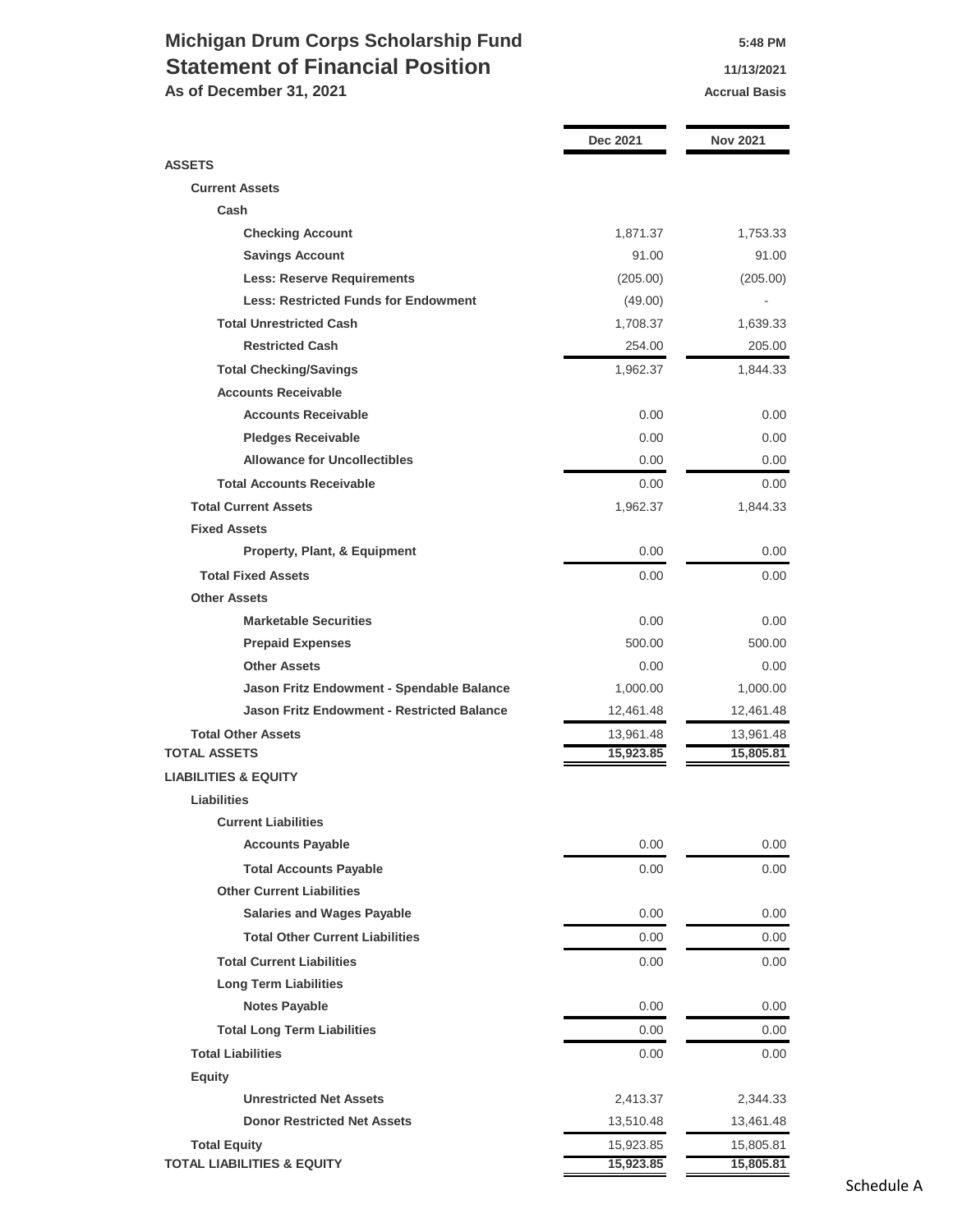## **Michigan Drum Corps Scholarship Fund 5:48 PM Statement of Financial Position 11/13/2021**

As of December 31, 2021 **Accrual Basis Accrual Basis** 

|                                                   | Dec 2021  | <b>Nov 2021</b> |
|---------------------------------------------------|-----------|-----------------|
| <b>ASSETS</b>                                     |           |                 |
| <b>Current Assets</b>                             |           |                 |
| Cash                                              |           |                 |
| <b>Checking Account</b>                           | 1,871.37  | 1,753.33        |
| <b>Savings Account</b>                            | 91.00     | 91.00           |
| <b>Less: Reserve Requirements</b>                 | (205.00)  | (205.00)        |
| <b>Less: Restricted Funds for Endowment</b>       | (49.00)   |                 |
| <b>Total Unrestricted Cash</b>                    | 1,708.37  | 1,639.33        |
| <b>Restricted Cash</b>                            | 254.00    | 205.00          |
| <b>Total Checking/Savings</b>                     | 1,962.37  | 1,844.33        |
| <b>Accounts Receivable</b>                        |           |                 |
| <b>Accounts Receivable</b>                        | 0.00      | 0.00            |
| <b>Pledges Receivable</b>                         | 0.00      | 0.00            |
| <b>Allowance for Uncollectibles</b>               | 0.00      | 0.00            |
| <b>Total Accounts Receivable</b>                  | 0.00      | 0.00            |
| <b>Total Current Assets</b>                       | 1,962.37  | 1,844.33        |
| <b>Fixed Assets</b>                               |           |                 |
| <b>Property, Plant, &amp; Equipment</b>           | 0.00      | 0.00            |
| <b>Total Fixed Assets</b>                         | 0.00      | 0.00            |
| <b>Other Assets</b>                               |           |                 |
| <b>Marketable Securities</b>                      | 0.00      | 0.00            |
| <b>Prepaid Expenses</b>                           | 500.00    | 500.00          |
| <b>Other Assets</b>                               | 0.00      | 0.00            |
| Jason Fritz Endowment - Spendable Balance         | 1,000.00  | 1,000.00        |
| <b>Jason Fritz Endowment - Restricted Balance</b> | 12,461.48 | 12,461.48       |
| <b>Total Other Assets</b>                         | 13,961.48 | 13,961.48       |
| <b>TOTAL ASSETS</b>                               | 15,923.85 | 15,805.81       |
| <b>LIABILITIES &amp; EQUITY</b>                   |           |                 |
| <b>Liabilities</b>                                |           |                 |
| <b>Current Liabilities</b>                        |           |                 |
| <b>Accounts Payable</b>                           | 0.00      | 0.00            |
| <b>Total Accounts Payable</b>                     | 0.00      | 0.00            |
| <b>Other Current Liabilities</b>                  |           |                 |
| <b>Salaries and Wages Payable</b>                 | 0.00      | 0.00            |
| <b>Total Other Current Liabilities</b>            | 0.00      | 0.00            |
| <b>Total Current Liabilities</b>                  | 0.00      | 0.00            |
| <b>Long Term Liabilities</b>                      |           |                 |
| <b>Notes Payable</b>                              | 0.00      | 0.00            |
| <b>Total Long Term Liabilities</b>                | 0.00      | 0.00            |
| <b>Total Liabilities</b>                          | 0.00      | 0.00            |
| <b>Equity</b>                                     |           |                 |
| <b>Unrestricted Net Assets</b>                    | 2,413.37  | 2,344.33        |
| <b>Donor Restricted Net Assets</b>                | 13,510.48 | 13,461.48       |
| <b>Total Equity</b>                               | 15,923.85 | 15,805.81       |
| <b>TOTAL LIABILITIES &amp; EQUITY</b>             | 15,923.85 | 15,805.81       |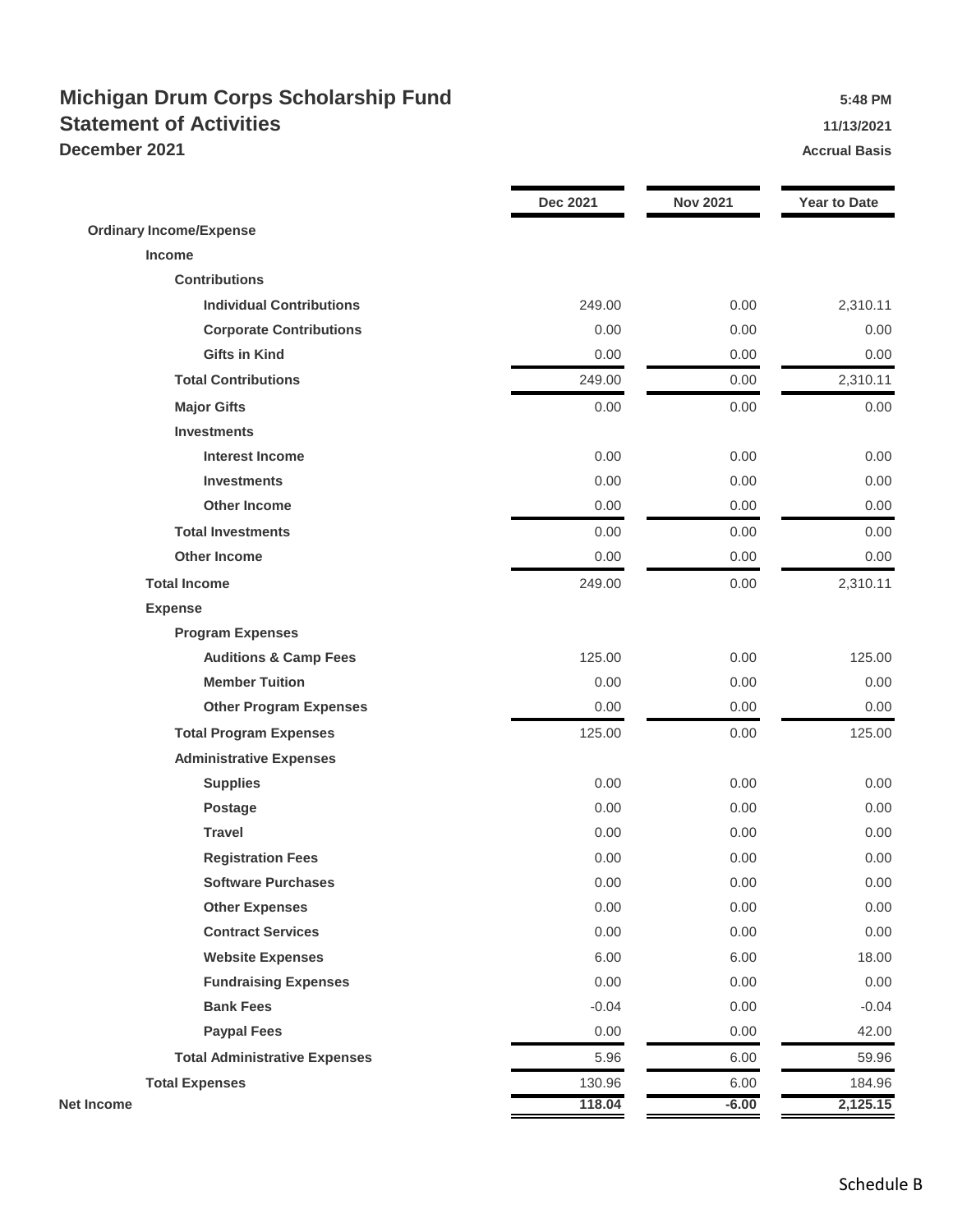## **Michigan Drum Corps Scholarship Fund 5:48 PM Statement of Activities 11/13/2021 December 2021 Accrual Basis Accrual Basis**

|                                      | <b>Dec 2021</b> | <b>Nov 2021</b> | <b>Year to Date</b> |
|--------------------------------------|-----------------|-----------------|---------------------|
| <b>Ordinary Income/Expense</b>       |                 |                 |                     |
| <b>Income</b>                        |                 |                 |                     |
| <b>Contributions</b>                 |                 |                 |                     |
| <b>Individual Contributions</b>      | 249.00          | 0.00            | 2,310.11            |
| <b>Corporate Contributions</b>       | 0.00            | 0.00            | 0.00                |
| <b>Gifts in Kind</b>                 | 0.00            | 0.00            | 0.00                |
| <b>Total Contributions</b>           | 249.00          | 0.00            | 2,310.11            |
| <b>Major Gifts</b>                   | 0.00            | 0.00            | 0.00                |
| <b>Investments</b>                   |                 |                 |                     |
| <b>Interest Income</b>               | 0.00            | 0.00            | 0.00                |
| <b>Investments</b>                   | 0.00            | 0.00            | 0.00                |
| <b>Other Income</b>                  | 0.00            | 0.00            | 0.00                |
| <b>Total Investments</b>             | 0.00            | 0.00            | 0.00                |
| <b>Other Income</b>                  | 0.00            | 0.00            | 0.00                |
| <b>Total Income</b>                  | 249.00          | 0.00            | 2,310.11            |
| <b>Expense</b>                       |                 |                 |                     |
| <b>Program Expenses</b>              |                 |                 |                     |
| <b>Auditions &amp; Camp Fees</b>     | 125.00          | 0.00            | 125.00              |
| <b>Member Tuition</b>                | 0.00            | 0.00            | 0.00                |
| <b>Other Program Expenses</b>        | 0.00            | 0.00            | 0.00                |
| <b>Total Program Expenses</b>        | 125.00          | 0.00            | 125.00              |
| <b>Administrative Expenses</b>       |                 |                 |                     |
| <b>Supplies</b>                      | 0.00            | 0.00            | 0.00                |
| <b>Postage</b>                       | 0.00            | 0.00            | 0.00                |
| <b>Travel</b>                        | 0.00            | 0.00            | 0.00                |
| <b>Registration Fees</b>             | 0.00            | 0.00            | 0.00                |
| <b>Software Purchases</b>            | 0.00            | 0.00            | 0.00                |
| <b>Other Expenses</b>                | 0.00            | 0.00            | 0.00                |
| <b>Contract Services</b>             | 0.00            | 0.00            | 0.00                |
| <b>Website Expenses</b>              | 6.00            | 6.00            | 18.00               |
| <b>Fundraising Expenses</b>          | 0.00            | 0.00            | 0.00                |
| <b>Bank Fees</b>                     | $-0.04$         | 0.00            | $-0.04$             |
| <b>Paypal Fees</b>                   | 0.00            | 0.00            | 42.00               |
| <b>Total Administrative Expenses</b> | 5.96            | 6.00            | 59.96               |
| <b>Total Expenses</b>                | 130.96          | 6.00            | 184.96              |
| <b>Net Income</b>                    | 118.04          | $-6.00$         | 2,125.15            |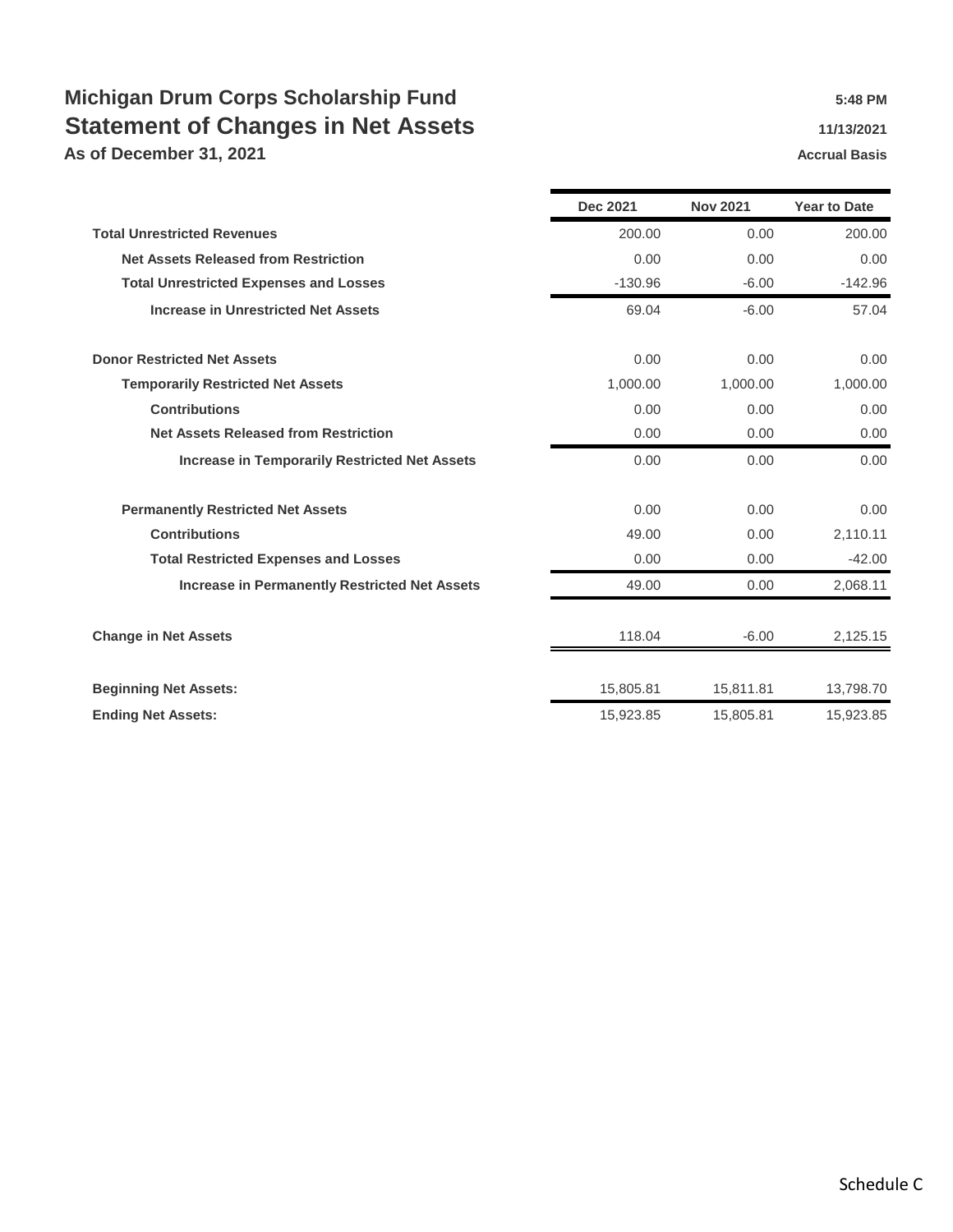# **Michigan Drum Corps Scholarship Fund 5:48 PM** 5:48 PM **Statement of Changes in Net Assets 11/13/2021**

**As of December 31, 2021 Accrual Basis Accrual Basis** 

|                                                      | <b>Dec 2021</b> | <b>Nov 2021</b> | <b>Year to Date</b> |
|------------------------------------------------------|-----------------|-----------------|---------------------|
| <b>Total Unrestricted Revenues</b>                   | 200.00          | 0.00            | 200.00              |
| <b>Net Assets Released from Restriction</b>          | 0.00            | 0.00            | 0.00                |
| <b>Total Unrestricted Expenses and Losses</b>        | $-130.96$       | $-6.00$         | $-142.96$           |
| <b>Increase in Unrestricted Net Assets</b>           | 69.04           | $-6.00$         | 57.04               |
| <b>Donor Restricted Net Assets</b>                   | 0.00            | 0.00            | 0.00                |
| <b>Temporarily Restricted Net Assets</b>             | 1,000.00        | 1,000.00        | 1,000.00            |
| <b>Contributions</b>                                 | 0.00            | 0.00            | 0.00                |
| <b>Net Assets Released from Restriction</b>          | 0.00            | 0.00            | 0.00                |
| <b>Increase in Temporarily Restricted Net Assets</b> | 0.00            | 0.00            | 0.00                |
| <b>Permanently Restricted Net Assets</b>             | 0.00            | 0.00            | 0.00                |
| <b>Contributions</b>                                 | 49.00           | 0.00            | 2,110.11            |
| <b>Total Restricted Expenses and Losses</b>          | 0.00            | 0.00            | $-42.00$            |
| <b>Increase in Permanently Restricted Net Assets</b> | 49.00           | 0.00            | 2,068.11            |
| <b>Change in Net Assets</b>                          | 118.04          | $-6.00$         | 2,125.15            |
| <b>Beginning Net Assets:</b>                         | 15,805.81       | 15,811.81       | 13,798.70           |
| <b>Ending Net Assets:</b>                            | 15,923.85       | 15,805.81       | 15,923.85           |